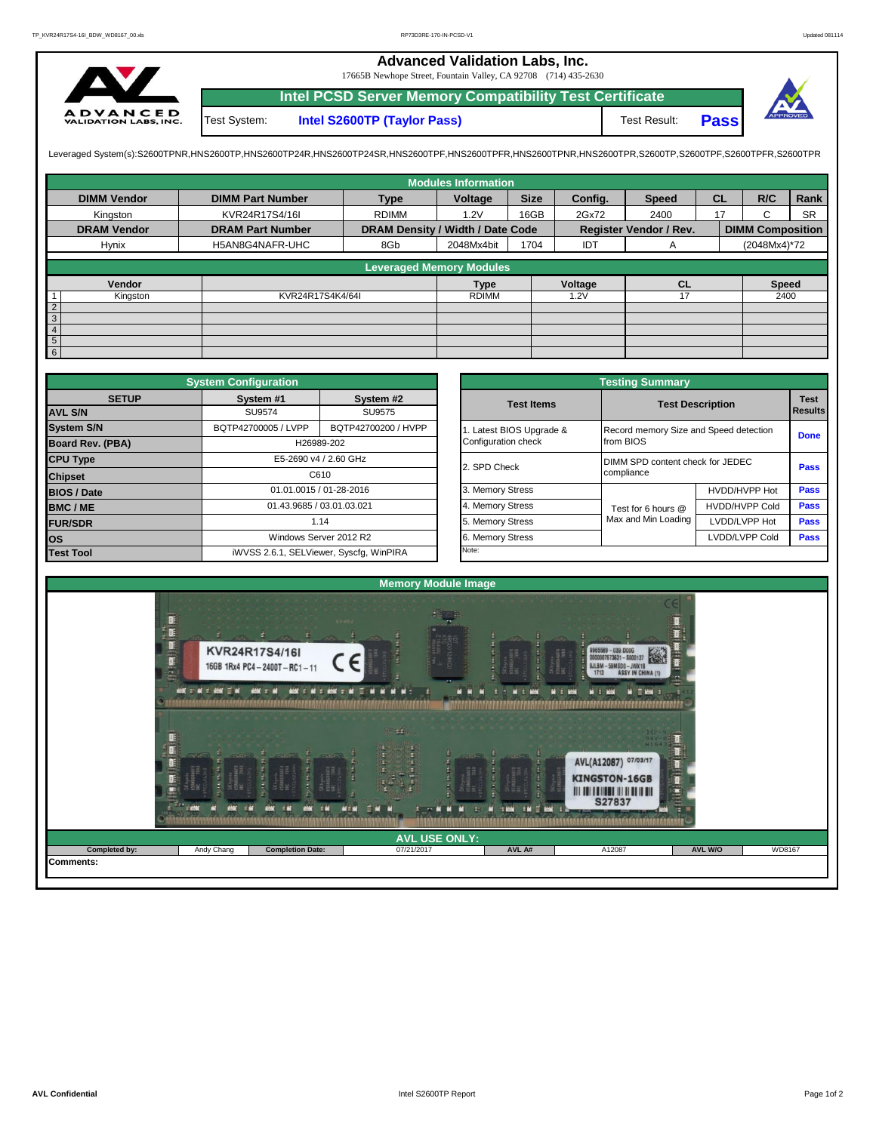## **Advanced Validation Labs, Inc.**

17665B Newhope Street, Fountain Valley, CA 92708 (714) 435-2630



**Intel PCSD Server Memory Compatibility Test Certificate Pass** Test System: **Intel S2600TP (Taylor Pass)** Test Result:



Leveraged System(s):S2600TPNR,HNS2600TP,HNS2600TP24R,HNS2600TP24SR,HNS2600TPF,HNS2600TPRR,HNS2600TPR,S2600TPR,S2600TPR,S2600TPR,S2600TPR,S2600TPFR,S2600TPFR,

|                    |                         |                                  | <b>Modules Information</b> |             |         |                        |           |                         |           |
|--------------------|-------------------------|----------------------------------|----------------------------|-------------|---------|------------------------|-----------|-------------------------|-----------|
| <b>DIMM Vendor</b> | <b>DIMM Part Number</b> | <b>Type</b>                      | Voltage                    | <b>Size</b> | Config. | <b>Speed</b>           | <b>CL</b> | R/C                     | Rank      |
| Kingston           | KVR24R17S4/16I          | <b>RDIMM</b>                     | 16GB<br>1.2V               |             | 2Gx72   | 2400                   | 17        | C                       | <b>SR</b> |
| <b>DRAM Vendor</b> | <b>DRAM Part Number</b> | DRAM Density / Width / Date Code |                            |             |         | Register Vendor / Rev. |           | <b>DIMM Composition</b> |           |
| Hynix              | H5AN8G4NAFR-UHC         | 8Gb                              | 2048Mx4bit                 | 1704        | IDT     | A                      |           | (2048Mx4)*72            |           |
|                    |                         | <b>Leveraged Memory Modules</b>  |                            |             |         |                        |           |                         |           |
|                    |                         |                                  |                            |             |         |                        |           |                         |           |
| Vendor             |                         |                                  | <b>Type</b>                |             | Voltage | <b>CL</b>              |           | <b>Speed</b>            |           |
| Kingston           | KVR24R17S4K4/64I        |                                  | <b>RDIMM</b>               |             | 1.2V    |                        |           | 2400                    |           |
| $\overline{2}$     |                         |                                  |                            |             |         |                        |           |                         |           |
| $\overline{3}$     |                         |                                  |                            |             |         |                        |           |                         |           |
| $\overline{4}$     |                         |                                  |                            |             |         |                        |           |                         |           |
| 5 <sub>5</sub>     |                         |                                  |                            |             |         |                        |           |                         |           |
| 6                  |                         |                                  |                            |             |         |                        |           |                         |           |

|                    | <b>System Configuration</b> |                                         |  | <b>Testing Summary</b> |                                        |                       |                |  |  |  |  |
|--------------------|-----------------------------|-----------------------------------------|--|------------------------|----------------------------------------|-----------------------|----------------|--|--|--|--|
| <b>SETUP</b>       | System #1<br>System #2      |                                         |  | <b>Test Items</b>      | <b>Test Description</b>                | <b>Test</b>           |                |  |  |  |  |
| <b>AVL S/N</b>     | SU9574                      | SU9575                                  |  |                        |                                        |                       | <b>Results</b> |  |  |  |  |
| <b>System S/N</b>  | BQTP42700005 / LVPP         | BQTP42700200 / HVPP                     |  | Latest BIOS Upgrade &  | Record memory Size and Speed detection |                       | <b>Done</b>    |  |  |  |  |
| Board Rev. (PBA)   |                             | H26989-202                              |  | Configuration check    | from BIOS                              |                       |                |  |  |  |  |
| <b>CPU Type</b>    |                             | E5-2690 v4 / 2.60 GHz                   |  | 2. SPD Check           | DIMM SPD content check for JEDEC       |                       |                |  |  |  |  |
| <b>Chipset</b>     |                             | C610                                    |  |                        | compliance                             |                       |                |  |  |  |  |
| <b>BIOS / Date</b> |                             | 01.01.0015 / 01-28-2016                 |  | 3. Memory Stress       |                                        | HVDD/HVPP Hot         | Pass           |  |  |  |  |
| BMC/ME             | 01.43.9685 / 03.01.03.021   |                                         |  | 4. Memory Stress       | Test for 6 hours @                     | <b>HVDD/HVPP Cold</b> | <b>Pass</b>    |  |  |  |  |
| <b>FUR/SDR</b>     |                             | 1.14                                    |  | 5. Memory Stress       | Max and Min Loading                    | LVDD/LVPP Hot         | <b>Pass</b>    |  |  |  |  |
| <b>los</b>         | Windows Server 2012 R2      |                                         |  | 6. Memory Stress       | LVDD/LVPP Cold<br>Pass                 |                       |                |  |  |  |  |
| <b>Test Tool</b>   |                             | iWVSS 2.6.1, SELViewer, Syscfq, WinPIRA |  | Note:                  |                                        |                       |                |  |  |  |  |

|              | <b>System Configuration</b> |                                         | <b>Testing Summary</b> |                                        |                       |                |
|--------------|-----------------------------|-----------------------------------------|------------------------|----------------------------------------|-----------------------|----------------|
| <b>SETUP</b> | System #1                   | System #2                               | <b>Test Items</b>      | <b>Test Description</b>                |                       | <b>Test</b>    |
|              | <b>SU9574</b>               | SU9575                                  |                        |                                        |                       | <b>Results</b> |
|              | BQTP42700005 / LVPP         | BQTP42700200 / HVPP                     | Latest BIOS Upgrade &  | Record memory Size and Speed detection |                       |                |
| PBA)         |                             | H26989-202                              | Configuration check    | from BIOS                              |                       | <b>Done</b>    |
|              |                             | E5-2690 v4 / 2.60 GHz                   | 2. SPD Check           | DIMM SPD content check for JEDEC       |                       |                |
|              |                             | C610                                    |                        | compliance                             |                       | Pass           |
|              |                             | 01.01.0015 / 01-28-2016                 | 3. Memory Stress       |                                        | HVDD/HVPP Hot         | Pass           |
|              | 01.43.9685 / 03.01.03.021   |                                         | 4. Memory Stress       | Test for 6 hours @                     | <b>HVDD/HVPP Cold</b> | Pass           |
|              |                             | 1.14                                    | 5. Memory Stress       | Max and Min Loading                    | LVDD/LVPP Hot         | Pass           |
|              |                             | Windows Server 2012 R2                  | 6. Memory Stress       |                                        | LVDD/LVPP Cold        | <b>Pass</b>    |
|              |                             | iWVSS 2.6.1, SELViewer, Syscfg, WinPIRA | Note:                  |                                        |                       |                |